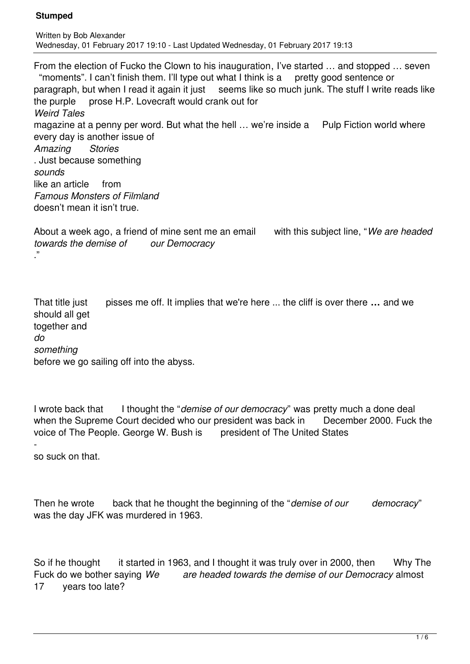From the election of Fucko the Clown to his inauguration, I've started … and stopped … seven "moments". I can't finish them. I'll type out what I think is a pretty good sentence or paragraph, but when I read it again it just seems like so much junk. The stuff I write reads like the purple prose H.P. Lovecraft would crank out for *Weird Tales* magazine at a penny per word. But what the hell ... we're inside a Pulp Fiction world where every day is another issue of *Amazing Stories* . Just because something *sounds* like an article from *Famous Monsters of Filmland* doesn't mean it isn't true.

About a week ago, a friend of mine sent me an email with this subject line, "*We are headed towards the demise of our Democracy* ."

That title just pisses me off. It implies that we're here ... the cliff is over there **…** and we should all get together and *do something* before we go sailing off into the abyss.

I wrote back that I thought the "*demise of our democracy*" was pretty much a done deal when the Supreme Court decided who our president was back in December 2000. Fuck the voice of The People. George W. Bush is president of The United States

 so suck on that.

Then he wrote back that he thought the beginning of the "*demise of our democracy*" was the day JFK was murdered in 1963.

So if he thought it started in 1963, and I thought it was truly over in 2000, then Why The Fuck do we bother saying *We are headed towards the demise of our Democracy* almost 17 years too late?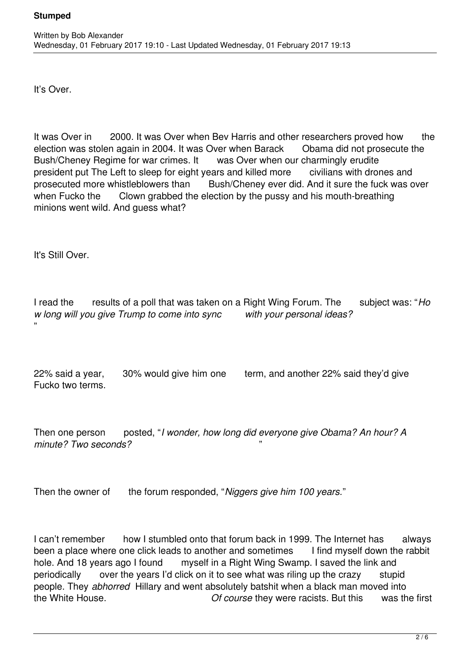It's Over.

It was Over in 2000. It was Over when Bev Harris and other researchers proved how the election was stolen again in 2004. It was Over when Barack Obama did not prosecute the Bush/Cheney Regime for war crimes. It was Over when our charmingly erudite president put The Left to sleep for eight years and killed more civilians with drones and prosecuted more whistleblowers than Bush/Cheney ever did. And it sure the fuck was over when Fucko the Clown grabbed the election by the pussy and his mouth-breathing minions went wild. And guess what?

It's Still Over.

I read the results of a poll that was taken on a Right Wing Forum. The subject was: "*Ho w long will you give Trump to come into sync with your personal ideas?* "

22% said a year, 30% would give him one term, and another 22% said they'd give Fucko two terms.

Then one person posted, "*I wonder, how long did everyone give Obama? An hour? A*  minute? Two seconds?

Then the owner of the forum responded, "*Niggers give him 100 years.*"

I can't remember how I stumbled onto that forum back in 1999. The Internet has always been a place where one click leads to another and sometimes I find myself down the rabbit hole. And 18 years ago I found myself in a Right Wing Swamp. I saved the link and periodically over the years I'd click on it to see what was riling up the crazy stupid people. They *abhorred* Hillary and went absolutely batshit when a black man moved into the White House. *Of course* they were racists. But this was the first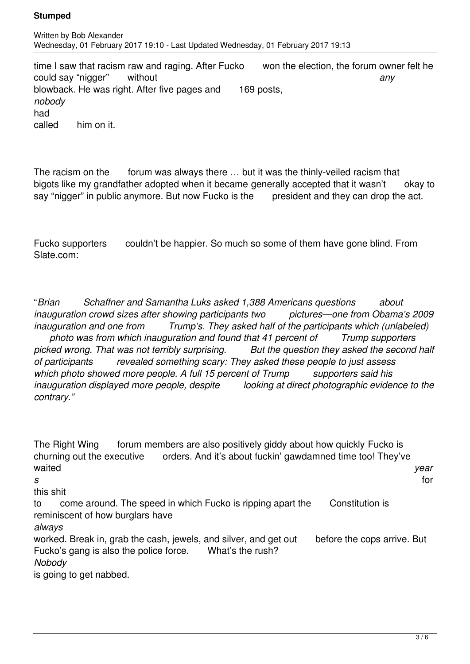time I saw that racism raw and raging. After Fucko won the election, the forum owner felt he could say "nigger" without *any* blowback. He was right. After five pages and 169 posts, *nobody* had called him on it.

The racism on the forum was always there ... but it was the thinly-veiled racism that bigots like my grandfather adopted when it became generally accepted that it wasn't okay to say "nigger" in public anymore. But now Fucko is the president and they can drop the act.

Fucko supporters couldn't be happier. So much so some of them have gone blind. From Slate.com:

"*Brian Schaffner and Samantha Luks asked 1,388 Americans questions about inauguration crowd sizes after showing participants two pictures—one from Obama's 2009 inauguration and one from Trump's. They asked half of the participants which (unlabeled) photo was from which inauguration and found that 41 percent of Trump supporters picked wrong. That was not terribly surprising. But the question they asked the second half of participants revealed something scary: They asked these people to just assess which photo showed more people. A full 15 percent of Trump supporters said his inauguration displayed more people, despite looking at direct photographic evidence to the contrary."*

The Right Wing forum members are also positively giddy about how quickly Fucko is churning out the executive orders. And it's about fuckin' gawdamned time too! They've waited *year s* for this shit to come around. The speed in which Fucko is ripping apart the Constitution is reminiscent of how burglars have *always* worked. Break in, grab the cash, jewels, and silver, and get out before the cops arrive. But Fucko's gang is also the police force. What's the rush? *Nobody* is going to get nabbed.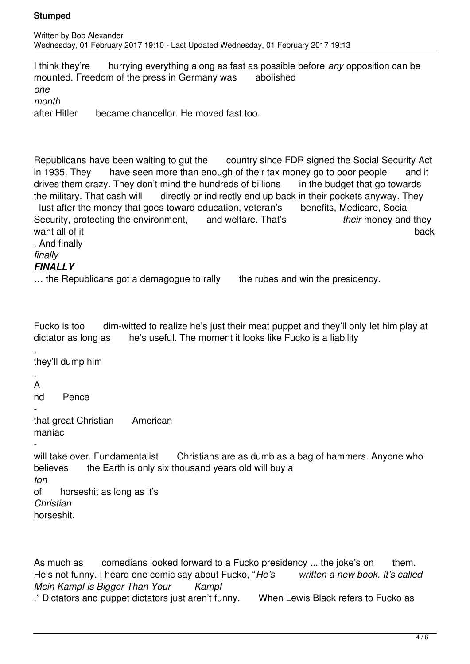I think they're hurrying everything along as fast as possible before *any* opposition can be mounted. Freedom of the press in Germany was abolished *one month* after Hitler became chancellor. He moved fast too.

Republicans have been waiting to gut the country since FDR signed the Social Security Act in 1935. They have seen more than enough of their tax money go to poor people and it drives them crazy. They don't mind the hundreds of billions in the budget that go towards the military. That cash will directly or indirectly end up back in their pockets anyway. They lust after the money that goes toward education, veteran's benefits, Medicare, Social Security, protecting the environment, and welfare. That's *their* money and they want all of it back that is a set of the set of the set of the set of the set of the set of the set of the set

. And finally

*finally*

# *FINALLY*

| the Republicans got a demagogue to rally | the rubes and win the presidency. |
|------------------------------------------|-----------------------------------|
|------------------------------------------|-----------------------------------|

Fucko is too dim-witted to realize he's just their meat puppet and they'll only let him play at dictator as long as he's useful. The moment it looks like Fucko is a liability

, they'll dump him

. A

nd Pence

 that great Christian American maniac

 will take over. Fundamentalist Christians are as dumb as a bag of hammers. Anyone who believes the Earth is only six thousand years old will buy a *ton* of horseshit as long as it's *Christian* horseshit.

As much as comedians looked forward to a Fucko presidency ... the joke's on them. He's not funny. I heard one comic say about Fucko, "*He's written a new book. It's called Mein Kampf is Bigger Than Your Kampf* ." Dictators and puppet dictators just aren't funny. When Lewis Black refers to Fucko as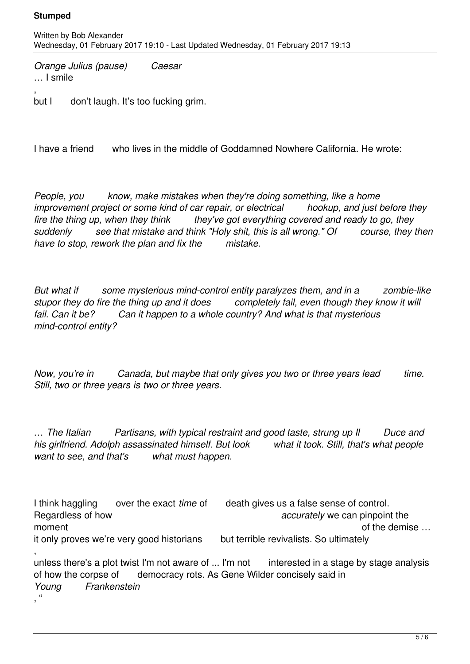*Orange Julius (pause) Caesar*  … I smile

, but I don't laugh. It's too fucking grim.

I have a friend who lives in the middle of Goddamned Nowhere California. He wrote:

*People, you know, make mistakes when they're doing something, like a home improvement project or some kind of car repair, or electrical hookup, and just before they fire the thing up, when they think they've got everything covered and ready to go, they suddenly see that mistake and think "Holy shit, this is all wrong." Of course, they then have to stop, rework the plan and fix the mistake.*

*But what if some mysterious mind-control entity paralyzes them, and in a zombie-like stupor they do fire the thing up and it does completely fail, even though they know it will fail. Can it be? Can it happen to a whole country? And what is that mysterious mind-control entity?* 

*Now, you're in Canada, but maybe that only gives you two or three years lead time. Still, two or three years is two or three years.*

… *The Italian Partisans, with typical restraint and good taste, strung up Il Duce and his girlfriend. Adolph assassinated himself. But look what it took. Still, that's what people want to see, and that's what must happen.*

I think haggling over the exact *time* of death gives us a false sense of control. Regardless of how *accurately* we can pinpoint the moment  $\blacksquare$  moment of the demise  $\blacksquare$ it only proves we're very good historians but terrible revivalists. So ultimately , unless there's a plot twist I'm not aware of ... I'm not interested in a stage by stage analysis of how the corpse of democracy rots. As Gene Wilder concisely said in

*Young Frankenstein*